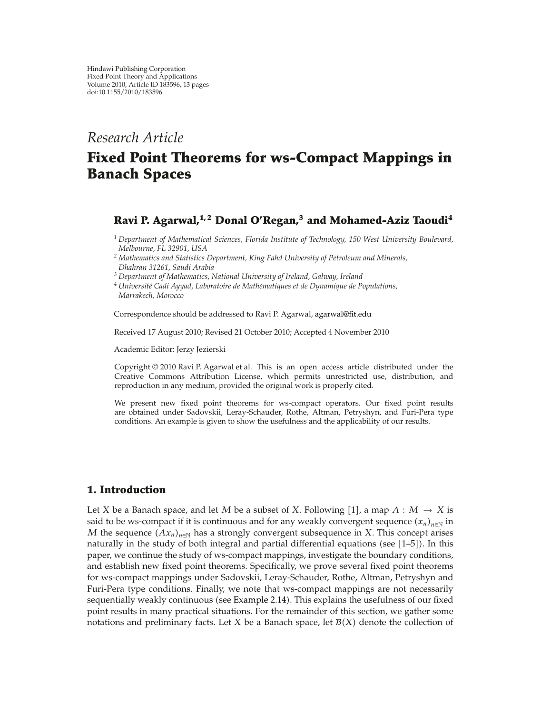# *Research Article*

# **Fixed Point Theorems for ws-Compact Mappings in Banach Spaces**

# **Ravi P. Agarwal,1, 2 Donal O'Regan,<sup>3</sup> and Mohamed-Aziz Taoudi4**

*<sup>1</sup> Department of Mathematical Sciences, Florida Institute of Technology, 150 West University Boulevard, Melbourne, FL 32901, USA*

- *<sup>2</sup> Mathematics and Statistics Department, King Fahd University of Petroleum and Minerals, Dhahran 31261, Saudi Arabia*
- *<sup>3</sup> Department of Mathematics, National University of Ireland, Galway, Ireland*

*<sup>4</sup> Universite Cadi Ayyad, Laboratoire de Math ´ ematiques et de Dynamique de Populations, ´ Marrakech, Morocco*

Correspondence should be addressed to Ravi P. Agarwal, agarwal@fit.edu

Received 17 August 2010; Revised 21 October 2010; Accepted 4 November 2010

Academic Editor: Jerzy Jezierski

Copyright  $@ 2010$  Ravi P. Agarwal et al. This is an open access article distributed under the Creative Commons Attribution License, which permits unrestricted use, distribution, and reproduction in any medium, provided the original work is properly cited.

We present new fixed point theorems for ws-compact operators. Our fixed point results are obtained under Sadovskii, Leray-Schauder, Rothe, Altman, Petryshyn, and Furi-Pera type conditions. An example is given to show the usefulness and the applicability of our results.

## **1. Introduction**

Let *X* be a Banach space, and let *M* be a subset of *X*. Following [1], a map  $A : M \to X$  is said to be ws-compact if it is continuous and for any weakly convergent sequence  $(x_n)_{n\in\mathbb{N}}$  in *M* the sequence  $(Ax_n)_{n\in\mathbb{N}}$  has a strongly convergent subsequence in *X*. This concept arises naturally in the study of both integral and partial differential equations (see [1–5]). In this paper, we continue the study of ws-compact mappings, investigate the boundary conditions, and establish new fixed point theorems. Specifically, we prove several fixed point theorems for ws-compact mappings under Sadovskii, Leray-Schauder, Rothe, Altman, Petryshyn and Furi-Pera type conditions. Finally, we note that ws-compact mappings are not necessarily sequentially weakly continuous (see Example 2.14). This explains the usefulness of our fixed point results in many practical situations. For the remainder of this section, we gather some notations and preliminary facts. Let *X* be a Banach space, let  $\mathcal{B}(X)$  denote the collection of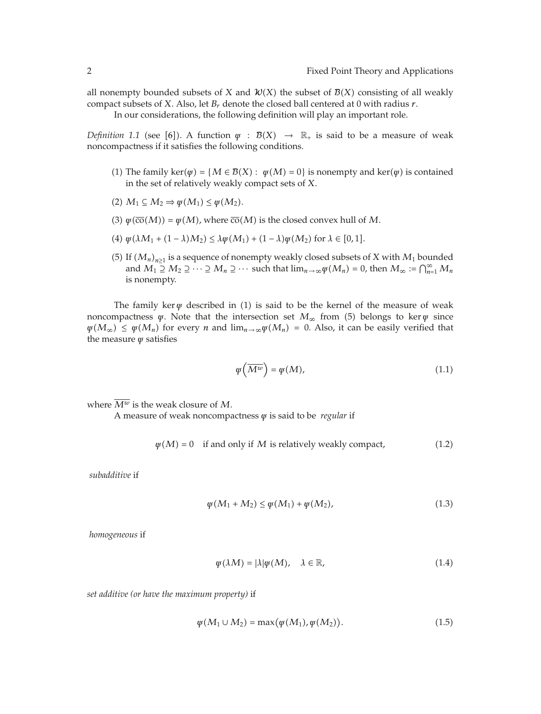all nonempty bounded subsets of *X* and  $\mathcal{W}(X)$  the subset of  $\mathcal{B}(X)$  consisting of all weakly compact subsets of *X*. Also, let *Br* denote the closed ball centered at 0 with radius *r*.

In our considerations, the following definition will play an important role.

*Definition 1.1* (see [6]). A function  $\psi$  :  $\mathcal{B}(X) \rightarrow \mathbb{R}$  is said to be a measure of weak noncompactness if it satisfies the following conditions.

- (1) The family ker $(\psi) = \{M \in \mathcal{B}(X) : \psi(M) = 0\}$  is nonempty and ker $(\psi)$  is contained in the set of relatively weakly compact sets of *X*.
- $(2)$   $M_1 \subseteq M_2 \Rightarrow \psi(M_1) \leq \psi(M_2).$
- $\psi(\overline{co}(M)) = \psi(M)$ , where  $\overline{co}(M)$  is the closed convex hull of M.
- $(4) \ \psi(\lambda M_1 + (1 \lambda)M_2) \leq \lambda \psi(M_1) + (1 \lambda) \psi(M_2) \text{ for } \lambda \in [0, 1].$
- (5) If  $(M_n)_{n\geq 1}$  is a sequence of nonempty weakly closed subsets of *X* with  $M_1$  bounded and  $M_1 \supseteq M_2 \supseteq \cdots \supseteq M_n \supseteq \cdots$  such that  $\lim_{n\to\infty}\psi(M_n)=0$ , then  $M_\infty := \bigcap_{n=1}^\infty M_n$ is nonempty.

The family ker  $\psi$  described in (1) is said to be the kernel of the measure of weak noncompactness  $\psi$ . Note that the intersection set  $M_{\infty}$  from (5) belongs to ker  $\psi$  since  $\psi(M_{\infty}) \leq \psi(M_n)$  for every *n* and  $\lim_{n \to \infty} \psi(M_n) = 0$ . Also, it can be easily verified that the measure *ψ* satisfies

$$
\varphi\left(\overline{M^w}\right) = \varphi(M),\tag{1.1}
$$

where  $\overline{M^w}$  is the weak closure of M.

A measure of weak noncompactness *ψ* is said to be *regular* if

$$
\psi(M) = 0
$$
 if and only if *M* is relatively weakly compact, (1.2)

*subadditive* if

$$
\psi(M_1 + M_2) \le \psi(M_1) + \psi(M_2), \tag{1.3}
$$

*homogeneous* if

$$
\varphi(\lambda M) = |\lambda| \varphi(M), \quad \lambda \in \mathbb{R}, \tag{1.4}
$$

*set additive (or have the maximum property)* if

$$
\psi(M_1 \cup M_2) = \max(\psi(M_1), \psi(M_2)). \tag{1.5}
$$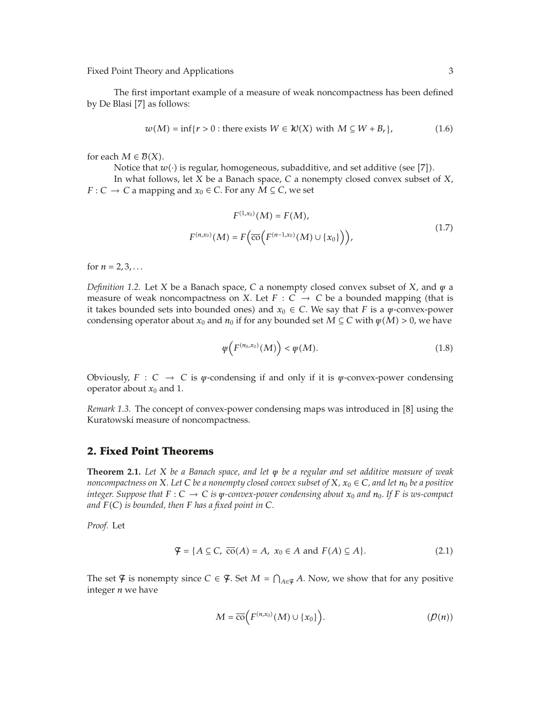The first important example of a measure of weak noncompactness has been defined by De Blasi [7] as follows:

$$
w(M) = \inf\{r > 0 : \text{there exists } W \in \mathcal{W}(X) \text{ with } M \subseteq W + B_r\},\tag{1.6}
$$

for each  $M \in \mathcal{B}(X)$ .

Notice that  $w(\cdot)$  is regular, homogeneous, subadditive, and set additive (see [7]).

In what follows, let *X* be a Banach space, *C* a nonempty closed convex subset of *X*, *F* ∶ *C* → *C* a mapping and  $x_0$  ∈ *C*. For any *M* ⊆ *C*, we set

$$
F^{(1,x_0)}(M) = F(M),
$$
  
\n
$$
F^{(n,x_0)}(M) = F(\overline{\text{co}}(F^{(n-1,x_0)}(M) \cup \{x_0\})),
$$
\n(1.7)

for  $n = 2, 3, ...$ 

*Definition 1.2.* Let *X* be a Banach space, *C* a nonempty closed convex subset of *X*, and *ψ* a measure of weak noncompactness on *X*. Let  $F : C \to C$  be a bounded mapping (that is it takes bounded sets into bounded ones) and  $x_0 \in C$ . We say that *F* is a  $\psi$ -convex-power condensing operator about  $x_0$  and  $n_0$  if for any bounded set  $M \subseteq C$  with  $\psi(M) > 0$ , we have

$$
\varphi\left(F^{(n_0,\chi_0)}(M)\right) < \varphi(M). \tag{1.8}
$$

Obviously,  $F : C \rightarrow C$  is  $\psi$ -condensing if and only if it is  $\psi$ -convex-power condensing operator about  $x_0$  and 1.

Remark 1.3. The concept of convex-power condensing maps was introduced in [8] using the Kuratowski measure of noncompactness.

## **2. Fixed Point Theorems**

**Theorem 2.1.** *Let X be a Banach space, and let ψ be a regular and set additive measure of weak noncompactness on*  $X$ *. Let*  $C$  *be a nonempty closed convex subset of*  $X$ *,*  $x_0 \in C$ *, and let*  $n_0$  *be a positive integer. Suppose that*  $F: C \to C$  *is*  $\psi$ *-convex-power condensing about*  $x_0$  *and*  $n_0$ *. If*  $F$  *is ws-compact and FC is bounded, then F has a fixed point in C.*

*Proof.* Let

$$
\mathcal{F} = \{ A \subseteq C, \overline{\text{co}}(A) = A, x_0 \in A \text{ and } F(A) \subseteq A \}. \tag{2.1}
$$

The set  $\mathcal{F}$  is nonempty since  $C \in \mathcal{F}$ . Set  $M = \bigcap_{A \in \mathcal{F}} A$ . Now, we show that for any positive integer *n* we have

$$
M = \overline{\mathrm{co}}\Big(F^{(n,x_0)}(M) \cup \{x_0\}\Big). \tag{D(n)}
$$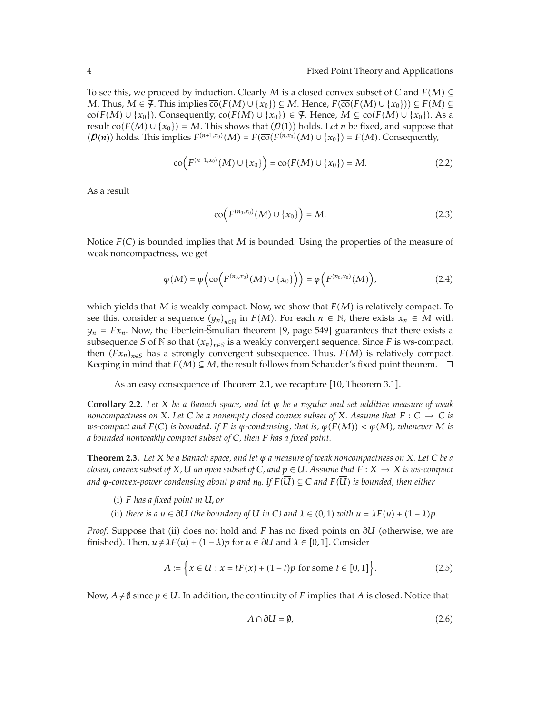To see this, we proceed by induction. Clearly *M* is a closed convex subset of *C* and *FM* ⊆ *M*. Thus,  $M \in \mathcal{F}$ . This implies  $\overline{\text{co}}(F(M) \cup \{x_0\}) \subseteq M$ . Hence,  $F(\overline{\text{co}}(F(M) \cup \{x_0\})) \subseteq F(M) \subseteq$  $\overline{\text{co}}(F(M) \cup \{x_0\})$ . Consequently,  $\overline{\text{co}}(F(M) \cup \{x_0\}) \in \mathcal{F}$ . Hence,  $M \subseteq \overline{\text{co}}(F(M) \cup \{x_0\})$ . As a result  $\overline{co}(F(M) \cup \{x_0\}) = M$ . This shows that  $(\mathcal{P}(1))$  holds. Let *n* be fixed, and suppose that  $(P(n))$  holds. This implies  $F^{(n+1,x_0)}(M) = F(\overline{co}(F^{(n,x_0)}(M) \cup \{x_0\}) = F(M)$ . Consequently,

$$
\overline{\text{co}}\Big(F^{(n+1,x_0)}(M)\cup\{x_0\}\Big)=\overline{\text{co}}(F(M)\cup\{x_0\})=M.\tag{2.2}
$$

As a result

$$
\overline{\text{co}}\Big(F^{(n_0,x_0)}(M)\cup\{x_0\}\Big)=M.\tag{2.3}
$$

Notice *FC* is bounded implies that *M* is bounded. Using the properties of the measure of weak noncompactness, we get

$$
\varphi(M) = \varphi\left(\overline{\mathrm{co}}\left(F^{(n_0,x_0)}(M) \cup \{x_0\}\right)\right) = \varphi\left(F^{(n_0,x_0)}(M)\right),\tag{2.4}
$$

which yields that *M* is weakly compact. Now, we show that *FM* is relatively compact. To see this, consider a sequence  $(y_n)_{n\in\mathbb{N}}$  in  $F(M)$ . For each  $n \in \mathbb{N}$ , there exists  $x_n \in M$  with  $y_n = Fx_n$ . Now, the Eberlein-Smulian theorem [9, page 549] guarantees that there exists a subsequence *S* of  $\mathbb N$  so that  $(x_n)_{n \in \mathbb S}$  is a weakly convergent sequence. Since *F* is ws-compact, then  $(Fx_n)_{n \in S}$  has a strongly convergent subsequence. Thus,  $F(M)$  is relatively compact. Keeping in mind that  $F(M) \subseteq M$ , the result follows from Schauder's fixed point theorem.  $\Box$ 

As an easy consequence of Theorem 2.1, we recapture  $[10$ , Theorem 3.1].

**Corollary 2.2.** *Let X be a Banach space, and let ψ be a regular and set additive measure of weak noncompactness on X. Let C be a nonempty closed convex subset of X. Assume that*  $F: C \to C$  *is ws-compact and*  $F(C)$  *is bounded. If*  $F$  *is*  $\psi$ -condensing, that is,  $\psi(F(M)) < \psi(M)$ , whenever M *is a bounded nonweakly compact subset of C, then F has a fixed point.*

**Theorem 2.3.** *Let X be a Banach space, and let ψ a measure of weak noncompactness on X. Let C be a closed, convex subset of*  $X$ *,*  $U$  *an open subset of*  $C$ *, and*  $p \in U$ *. Assume that*  $F : X \to X$  *is ws-compact and*  $\psi$ -convex-power condensing about p and  $n_0$ . If  $F(\overline{U}) \subseteq C$  and  $F(\overline{U})$  is bounded, then either

- (i)  $F$  *has a fixed point in*  $\overline{U}$ , *or*
- (ii) *there is a*  $u \in \partial U$  *(the boundary of*  $U$  *in*  $C$ *) and*  $\lambda \in (0,1)$  *with*  $u = \lambda F(u) + (1 \lambda)p$ .

*Proof.* Suppose that (ii) does not hold and *F* has no fixed points on  $\partial U$  (otherwise, we are finished). Then,  $u \neq \lambda F(u) + (1 - \lambda)p$  for  $u \in \partial U$  and  $\lambda \in [0, 1]$ . Consider

$$
A := \left\{ x \in \overline{U} : x = tF(x) + (1 - t)p \text{ for some } t \in [0, 1] \right\}.
$$
 (2.5)

Now,  $A \neq \emptyset$  since  $p \in U$ . In addition, the continuity of *F* implies that *A* is closed. Notice that

$$
A \cap \partial U = \emptyset, \tag{2.6}
$$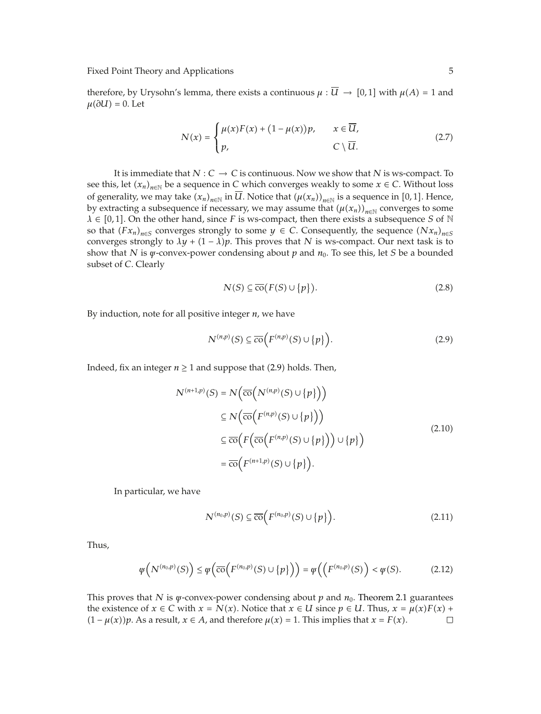therefore, by Urysohn's lemma, there exists a continuous  $\mu : U \to [0,1]$  with  $\mu(A) = 1$  and  $\mu(\partial U) = 0$ . Let

$$
N(x) = \begin{cases} \mu(x)F(x) + (1 - \mu(x))p, & x \in \overline{U}, \\ p, & C \setminus \overline{U}. \end{cases}
$$
 (2.7)

It is immediate that  $N : C \to C$  is continuous. Now we show that  $N$  is ws-compact. To see this, let  $(x_n)_{n \in \mathbb{N}}$  be a sequence in *C* which converges weakly to some  $x \in C$ . Without loss of generality, we may take  $(x_n)_{n\in\mathbb{N}}$  in *U*. Notice that  $(\mu(x_n))_{n\in\mathbb{N}}$  is a sequence in [0,1]. Hence, by extracting a subsequence if necessary, we may assume that  $(\mu(x_n))_{n\in\mathbb{N}}$  converges to some  $\lambda \in [0,1]$ . On the other hand, since *F* is ws-compact, then there exists a subsequence *S* of N so that  $(Fx_n)_{n\in S}$  converges strongly to some  $y \in C$ . Consequently, the sequence  $(Nx_n)_{n\in S}$ converges strongly to  $\lambda y + (1 - \lambda)p$ . This proves that *N* is ws-compact. Our next task is to show that *N* is  $\psi$ -convex-power condensing about  $p$  and  $n_0$ . To see this, let *S* be a bounded subset of *C*. Clearly

$$
N(S) \subseteq \overline{\text{co}}(F(S) \cup \{p\}).\tag{2.8}
$$

By induction, note for all positive integer *n*, we have

$$
N^{(n,p)}(S) \subseteq \overline{co}\Big(F^{(n,p)}(S) \cup \{p\}\Big). \tag{2.9}
$$

Indeed, fix an integer  $n \ge 1$  and suppose that (2.9) holds. Then,

$$
N^{(n+1,p)}(S) = N(\overline{co}(N^{(n,p)}(S) \cup \{p\}))
$$
  
\n
$$
\subseteq N(\overline{co}(F^{(n,p)}(S) \cup \{p\}))
$$
  
\n
$$
\subseteq \overline{co}(F(\overline{co}(F^{(n,p)}(S) \cup \{p\})) \cup \{p\})
$$
  
\n
$$
= \overline{co}(F^{(n+1,p)}(S) \cup \{p\}).
$$
\n(2.10)

In particular, we have

$$
N^{(n_0,p)}(S) \subseteq \overline{\text{co}}\Big(F^{(n_0,p)}(S) \cup \{p\}\Big). \tag{2.11}
$$

Thus,

$$
\varphi\left(N^{(n_0,p)}(S)\right) \leq \varphi\left(\overline{\text{co}}\left(F^{(n_0,p)}(S) \cup \{p\}\right)\right) = \varphi\left(\left(F^{(n_0,p)}(S)\right) < \varphi(S). \tag{2.12}
$$

This proves that *N* is *ψ*-convex-power condensing about *p* and *n*0. Theorem 2.1 guarantees the existence of  $x \in C$  with  $x = N(x)$ . Notice that  $x \in U$  since  $p \in U$ . Thus,  $x = \mu(x)F(x) + (1 - \mu(x))p$ . As a result,  $x \in A$ , and therefore  $\mu(x) = 1$ . This implies that  $x = F(x)$ .  $(1 - \mu(x))p$ . As a result,  $x \in A$ , and therefore  $\mu(x) = 1$ . This implies that  $x = F(x)$ .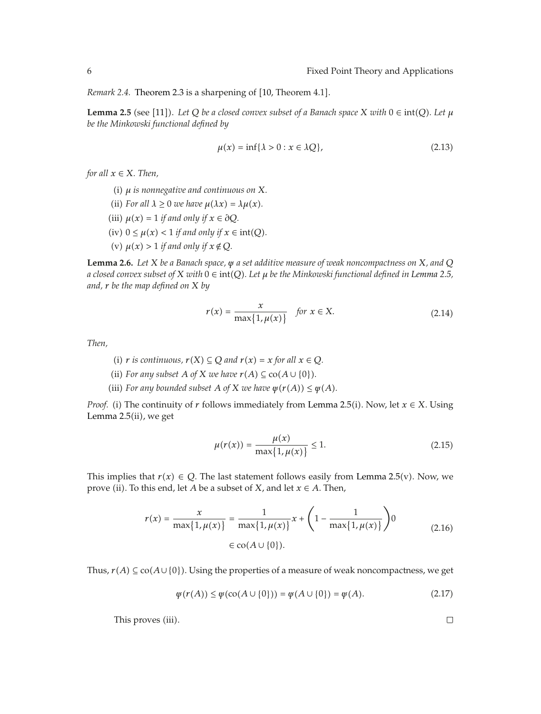*Remark 2.4.* Theorem 2.3 is a sharpening of [10, Theorem 4.1].

**Lemma 2.5** (see [11]). Let Q be a closed convex subset of a Banach space *X* with  $0 \in \text{int}(Q)$ . Let  $\mu$ *be the Minkowski functional defined by*

$$
\mu(x) = \inf \{ \lambda > 0 : x \in \lambda Q \},\tag{2.13}
$$

*for all*  $x \in X$ *. Then,* 

- i *μ is nonnegative and continuous on X.*
- (ii) *For all*  $\lambda \geq 0$  *we have*  $\mu(\lambda x) = \lambda \mu(x)$ *.*
- $(iii)$   $\mu(x) = 1$  *if and only if*  $x \in \partial Q$ *.*
- $(iv)$   $0 \leq \mu(x) < 1$  *if and only if*  $x \in \text{int}(Q)$ *.*
- *(v)*  $\mu(x) > 1$  *if and only if*  $x \notin Q$ *.*

**Lemma 2.6.** *Let X be a Banach space, ψ a set additive measure of weak noncompactness on X, and Q a closed convex subset of X with* 0 ∈ int*Q. Let μ be the Minkowski functional defined in Lemma 2.5, and, r be the map defined on X by*

$$
r(x) = \frac{x}{\max\{1, \mu(x)\}} \quad \text{for } x \in X. \tag{2.14}
$$

*Then,*

- *(i)*  $r$  *is continuous,*  $r(X) ⊆ Q$  *and*  $r(x) = x$  *for all*  $x ∈ Q$ *.*
- (ii) *For any subset A of X we have*  $r(A) \subseteq$  co $(A \cup \{0\})$ *.*
- (iii) *For any bounded subset A of X we have*  $\psi(r(A)) \leq \psi(A)$ *.*

*Proof.* (i) The continuity of *r* follows immediately from Lemma 2.5(i). Now, let  $x \in X$ . Using Lemma  $2.5$ (ii), we get

$$
\mu(r(x)) = \frac{\mu(x)}{\max\{1, \mu(x)\}} \le 1.
$$
\n(2.15)

This implies that  $r(x) \in Q$ . The last statement follows easily from Lemma 2.5(v). Now, we prove (ii). To this end, let *A* be a subset of *X*, and let  $x \in A$ . Then,

$$
r(x) = \frac{x}{\max\{1, \mu(x)\}} = \frac{1}{\max\{1, \mu(x)\}} x + \left(1 - \frac{1}{\max\{1, \mu(x)\}}\right) 0
$$
  

$$
\in \text{co}(A \cup \{0\}).
$$
 (2.16)

Thus,  $r(A) \subseteq \text{co}(A \cup \{0\})$ . Using the properties of a measure of weak noncompactness, we get

$$
\psi(r(A)) \le \psi(\text{co}(A \cup \{0\})) = \psi(A \cup \{0\}) = \psi(A). \tag{2.17}
$$

This proves (iii).

 $\Box$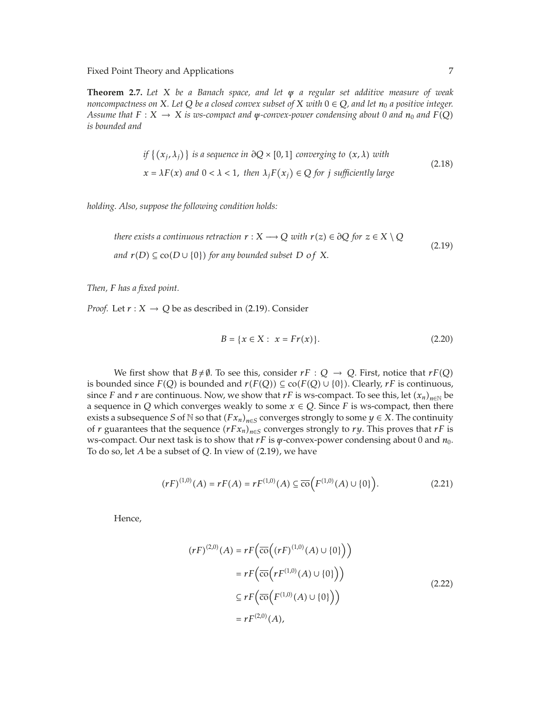**Theorem 2.7.** *Let X be a Banach space, and let ψ a regular set additive measure of weak noncompactness on X. Let*  $Q$  *be a closed convex subset of X with*  $0 \in Q$ *, and let*  $n_0$  *a positive integer. Assume that*  $F: X \to X$  *is ws-compact and*  $\psi$ -convex-power condensing about 0 and  $n_0$  and  $F(Q)$ *is bounded and*

if 
$$
\{(x_j, \lambda_j)\}\
$$
is a sequence in  $\partial Q \times [0, 1]$  converging to  $(x, \lambda)$  with  
 $x = \lambda F(x)$  and  $0 < \lambda < 1$ , then  $\lambda_j F(x_j) \in Q$  for  $j$  sufficiently large  $(2.18)$ 

*holding. Also, suppose the following condition holds:*

there exists a continuous retraction 
$$
r : X \longrightarrow Q
$$
 with  $r(z) \in \partial Q$  for  $z \in X \setminus Q$   
and  $r(D) \subseteq \text{co}(D \cup \{0\})$  for any bounded subset D of X.  $(2.19)$ 

*Then, F has a fixed point.*

*Proof.* Let  $r : X \to Q$  be as described in (2.19). Consider

$$
B = \{x \in X : x = Fr(x)\}.
$$
 (2.20)

We first show that  $B \neq \emptyset$ . To see this, consider  $rF : Q \rightarrow Q$ . First, notice that  $rF(Q)$ is bounded since  $F(Q)$  is bounded and  $r(F(Q)) \subseteq \text{co}(F(Q) \cup \{0\})$ . Clearly,  $rF$  is continuous, since *F* and *r* are continuous. Now, we show that *rF* is ws-compact. To see this, let  $(x_n)_{n\in\mathbb{N}}$  be a sequence in *Q* which converges weakly to some  $x \in Q$ . Since *F* is ws-compact, then there exists a subsequence *S* of N so that  $(Fx_n)_{n\in S}$  converges strongly to some  $y \in X$ . The continuity of *r* guarantees that the sequence  $(rFx_n)_{n\in S}$  converges strongly to *ry*. This proves that *rF* is ws-compact. Our next task is to show that *rF* is *ψ*-convex-power condensing about 0 and *n*<sub>0</sub>. To do so, let *A* be a subset of *Q*. In view of (2.19), we have

$$
(rF)^{(1,0)}(A) = rF(A) = rF^{(1,0)}(A) \subseteq \overline{\text{co}}(F^{(1,0)}(A) \cup \{0\}).
$$
 (2.21)

Hence,

$$
(rF)^{(2,0)}(A) = rF\left(\overline{\text{co}}\left((rF)^{(1,0)}(A) \cup \{0\}\right)\right)
$$

$$
= rF\left(\overline{\text{co}}\left(rF^{(1,0)}(A) \cup \{0\}\right)\right)
$$

$$
\subseteq rF\left(\overline{\text{co}}\left(F^{(1,0)}(A) \cup \{0\}\right)\right)
$$

$$
= rF^{(2,0)}(A), \tag{2.22}
$$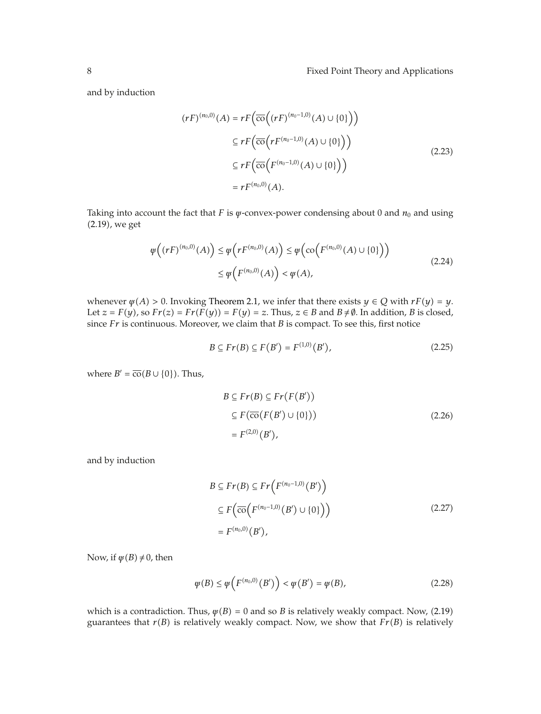and by induction

$$
(rF)^{(n_0,0)}(A) = rF\left(\overline{\text{co}}\left((rF)^{(n_0-1,0)}(A) \cup \{0\}\right)\right)
$$

$$
\subseteq rF\left(\overline{\text{co}}\left(rF^{(n_0-1,0)}(A) \cup \{0\}\right)\right)
$$

$$
\subseteq rF\left(\overline{\text{co}}\left(F^{(n_0-1,0)}(A) \cup \{0\}\right)\right)
$$

$$
= rF^{(n_0,0)}(A).
$$
(2.23)

Taking into account the fact that *F* is  $\psi$ -convex-power condensing about 0 and  $n_0$  and using 2.19, we get

$$
\varphi\left((rF)^{(n_0,0)}(A)\right) \leq \varphi\left(rF^{(n_0,0)}(A)\right) \leq \varphi\left(\text{co}\left(F^{(n_0,0)}(A)\cup\{0\}\right)\right)
$$
\n
$$
\leq \varphi\left(F^{(n_0,0)}(A)\right) < \varphi(A),\tag{2.24}
$$

whenever  $\psi$ (*A*) > 0. Invoking Theorem 2.1, we infer that there exists  $y \in Q$  with  $rF(y) = y$ . Let  $z = F(y)$ , so  $Fr(z) = Fr(F(y)) = F(y) = z$ . Thus,  $z \in B$  and  $B \neq \emptyset$ . In addition, *B* is closed, since *Fr* is continuous. Moreover, we claim that *B* is compact. To see this, first notice

$$
B \subseteq Fr(B) \subseteq F(B') = F^{(1,0)}(B'), \tag{2.25}
$$

where  $B' = \overline{co}(B \cup \{0\})$ . Thus,

$$
B \subseteq Fr(B) \subseteq Fr(F(B'))
$$
  
\n
$$
\subseteq F(\overline{co}(F(B') \cup \{0\}))
$$
  
\n
$$
= F^{(2,0)}(B'),
$$
\n(2.26)

and by induction

$$
B \subseteq Fr(B) \subseteq Fr\left(F^{(n_0-1,0)}(B')\right)
$$
  
\n
$$
\subseteq F\left(\overline{co}\left(F^{(n_0-1,0)}(B') \cup \{0\}\right)\right)
$$
  
\n
$$
= F^{(n_0,0)}(B'), \qquad (2.27)
$$

Now, if  $\psi(B) \neq 0$ , then

$$
\psi(B) \le \psi\left(F^{(n_0,0)}(B')\right) < \psi(B') = \psi(B),\tag{2.28}
$$

which is a contradiction. Thus,  $\psi(B) = 0$  and so *B* is relatively weakly compact. Now, (2.19) guarantees that  $r(B)$  is relatively weakly compact. Now, we show that  $Fr(B)$  is relatively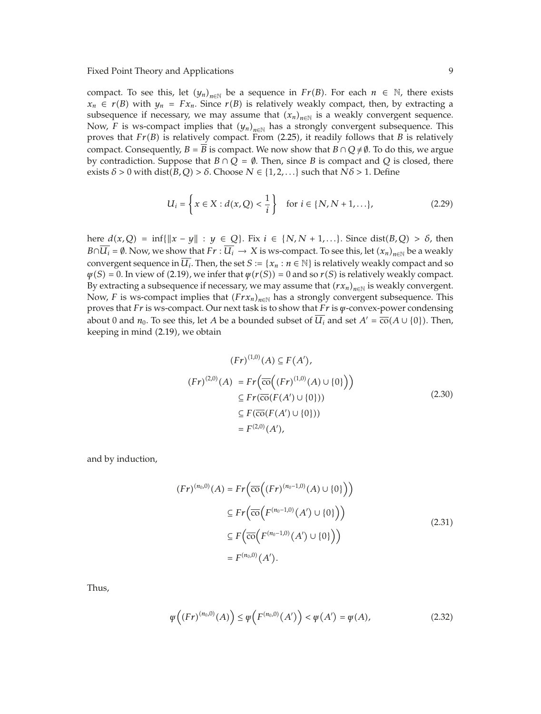compact. To see this, let  $(y_n)_{n \in \mathbb{N}}$  be a sequence in  $Fr(B)$ . For each  $n \in \mathbb{N}$ , there exists  $x_n \in r(B)$  with  $y_n = Fx_n$ . Since  $r(B)$  is relatively weakly compact, then, by extracting a subsequence if necessary, we may assume that  $(x_n)_{n\in\mathbb{N}}$  is a weakly convergent sequence. Now, *F* is ws-compact implies that  $(y_n)_{n \in \mathbb{N}}$  has a strongly convergent subsequence. This proves that  $Fr(B)$  is relatively compact. From (2.25), it readily follows that *B* is relatively compact. Consequently,  $B = B$  is compact. We now show that  $B \cap Q \neq \emptyset$ . To do this, we argue by contradiction. Suppose that  $B \cap Q = \emptyset$ . Then, since *B* is compact and *Q* is closed, there exists  $\delta$  > 0 with dist( $B$ ,  $Q$ ) >  $\delta$ . Choose  $N \in \{1, 2, ...\}$  such that  $N\delta$  > 1. Define

$$
U_i = \left\{ x \in X : d(x, Q) < \frac{1}{i} \right\} \quad \text{for } i \in \{N, N + 1, \ldots\},\tag{2.29}
$$

here  $d(x, Q) = \inf\{\|x - y\| : y \in Q\}$ . Fix  $i \in \{N, N + 1, \ldots\}$ . Since dist $(B, Q) > \delta$ , then *B*∩*U<sub>i</sub>* =  $\emptyset$ . Now, we show that *Fr* :  $\overline{U_i}$  → *X* is ws-compact. To see this, let  $(x_n)_{n\in\mathbb{N}}$  be a weakly convergent sequence in  $\overline{U_i}$ . Then, the set  $S := \{x_n : n \in \mathbb{N}\}\$  is relatively weakly compact and so  $\psi(S) = 0$ . In view of (2.19), we infer that  $\psi(r(S)) = 0$  and so  $r(S)$  is relatively weakly compact. By extracting a subsequence if necessary, we may assume that  $(rx_n)_{n\in\mathbb{N}}$  is weakly convergent. Now, *F* is ws-compact implies that  $(Frx_n)_{n\in\mathbb{N}}$  has a strongly convergent subsequence. This proves that *Fr* is ws-compact. Our next task is to show that *Fr* is *ψ*-convex-power condensing about 0 and  $n_0$ . To see this, let *A* be a bounded subset of  $\overline{U_i}$  and set  $A' = \overline{co}(A \cup \{0\})$ . Then, keeping in mind (2.19), we obtain

$$
(Fr)^{(1,0)}(A) \subseteq F(A'),
$$
  
\n
$$
(Fr)^{(2,0)}(A) = Fr(\overline{co}((Fr)^{(1,0)}(A) \cup \{0\}))
$$
  
\n
$$
\subseteq Fr(\overline{co}(F(A') \cup \{0\}))
$$
  
\n
$$
\subseteq F(\overline{co}(F(A') \cup \{0\}))
$$
  
\n
$$
= F^{(2,0)}(A'),
$$
\n(2.30)

and by induction,

$$
(Fr)^{(n_0,0)}(A) = Fr\Big(\overline{\text{co}}\Big((Fr)^{(n_0-1,0)}(A) \cup \{0\}\Big)\Big)
$$
  
\n
$$
\subseteq Fr\Big(\overline{\text{co}}\Big(F^{(n_0-1,0)}(A') \cup \{0\}\Big)\Big)
$$
  
\n
$$
\subseteq F\Big(\overline{\text{co}}\Big(F^{(n_0-1,0)}(A') \cup \{0\}\Big)\Big)
$$
  
\n
$$
= F^{(n_0,0)}(A').
$$
\n(2.31)

Thus,

$$
\varphi((Fr)^{(n_0,0)}(A)) \le \varphi(F^{(n_0,0)}(A')) < \varphi(A') = \varphi(A), \tag{2.32}
$$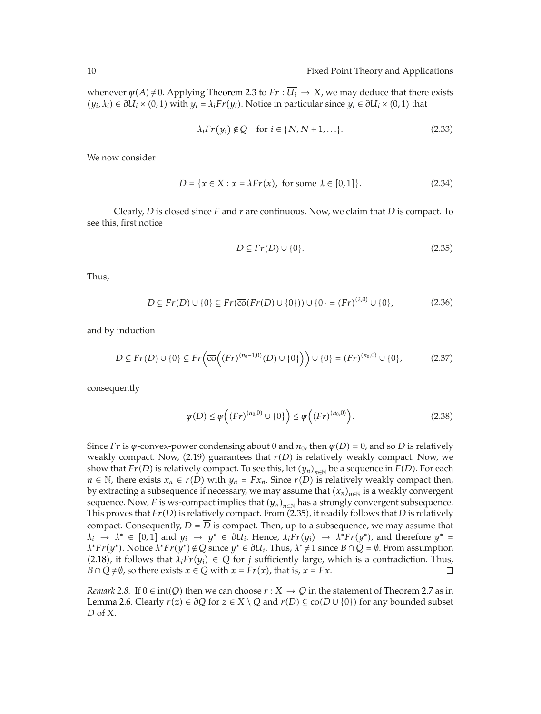whenever  $\psi(A) \neq 0$ . Applying Theorem 2.3 to  $Fr : \overline{U_i} \to X$ , we may deduce that there exists  $(y_i, \lambda_i)$  ∈  $\partial U_i$  × (0, 1) with  $y_i = \lambda_i Fr(y_i)$ . Notice in particular since  $y_i$  ∈  $\partial U_i$  × (0, 1) that

$$
\lambda_i Fr(y_i) \notin Q \quad \text{for } i \in \{N, N+1, \ldots\}.
$$
 (2.33)

We now consider

$$
D = \{x \in X : x = \lambda Fr(x), \text{ for some } \lambda \in [0, 1]\}.
$$
 (2.34)

Clearly, *D* is closed since *F* and *r* are continuous. Now, we claim that *D* is compact. To see this, first notice

$$
D \subseteq Fr(D) \cup \{0\}.\tag{2.35}
$$

Thus,

$$
D \subseteq Fr(D) \cup \{0\} \subseteq Fr(\overline{\text{co}}(Fr(D) \cup \{0\})) \cup \{0\} = (Fr)^{(2,0)} \cup \{0\},\tag{2.36}
$$

and by induction

$$
D \subseteq Fr(D) \cup \{0\} \subseteq Fr\Big(\overline{\text{co}}\Big((Fr)^{(n_0-1,0)}(D) \cup \{0\}\Big)\Big) \cup \{0\} = (Fr)^{(n_0,0)} \cup \{0\},\tag{2.37}
$$

consequently

$$
\varphi(D) \le \varphi\Big((Fr)^{(n_0,0)} \cup \{0\}\Big) \le \varphi\Big((Fr)^{(n_0,0)}\Big). \tag{2.38}
$$

Since *Fr* is  $\psi$ -convex-power condensing about 0 and  $n_0$ , then  $\psi(D) = 0$ , and so *D* is relatively weakly compact. Now, (2.19) guarantees that  $r(D)$  is relatively weakly compact. Now, we show that *Fr*(*D*) is relatively compact. To see this, let  $(y_n)_{n\in\mathbb{N}}$  be a sequence in *F*(*D*). For each *n* ∈ N, there exists  $x_n$  ∈  $r(D)$  with  $y_n$  =  $Fx_n$ . Since  $r(D)$  is relatively weakly compact then, by extracting a subsequence if necessary, we may assume that  $(x_n)_{n\in\mathbb{N}}$  is a weakly convergent sequence. Now, *F* is ws-compact implies that  $(y_n)_{n \in \mathbb{N}}$  has a strongly convergent subsequence. This proves that  $Fr(D)$  is relatively compact. From (2.35), it readily follows that *D* is relatively compact. Consequently,  $D = D$  is compact. Then, up to a subsequence, we may assume that  $\lambda_i \rightarrow \lambda^* \in [0,1]$  and  $y_i \rightarrow y^* \in \partial U_i$ . Hence,  $\lambda_i Fr(y_i) \rightarrow \lambda^* Fr(y^*)$ , and therefore  $y^* =$  $\lambda^*$ *Fr*(*y*<sup>\*</sup>). Notice  $\lambda^*$ *Fr*(*y*<sup>\*</sup>)  $\notin Q$  since *y*<sup>\*</sup>  $\in \partial U_i$ . Thus,  $\lambda^* \neq 1$  since  $B \cap Q = \emptyset$ . From assumption (2.18), it follows that  $\lambda_i Fr(y_i) \in Q$  for *j* sufficiently large, which is a contradiction. Thus,  $B \cap O \neq \emptyset$ , so there exists  $x \in O$  with  $x = Fr(x)$ , that is,  $x = Fx$ . *B*  $\cap$  *Q*  $\neq$  Ø, so there exists *x*  $\in$  *Q* with *x* = *Fr*(*x*), that is, *x* = *Fx*.

*Remark* 2.8. If  $0 \in \text{int}(Q)$  then we can choose  $r : X \to Q$  in the statement of Theorem 2.7 as in Lemma 2.6. Clearly  $r(z) \in \partial Q$  for  $z \in X \setminus Q$  and  $r(D) \subseteq \text{co}(D \cup \{0\})$  for any bounded subset *D* of *X*.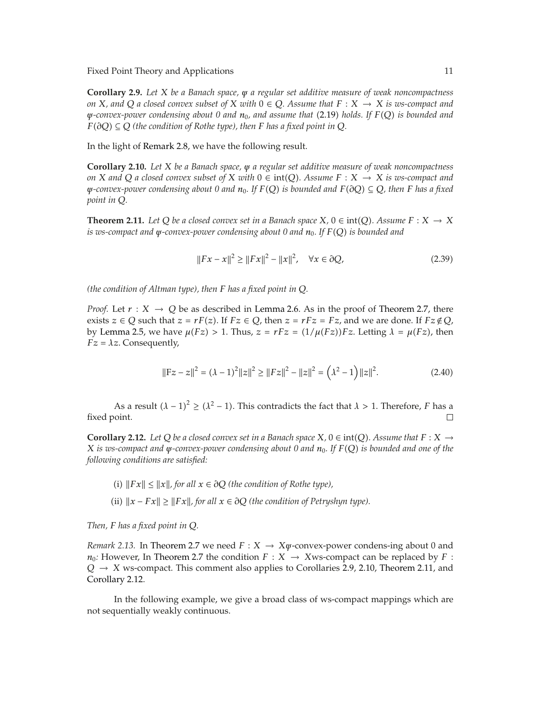**Corollary 2.9.** *Let X be a Banach space, ψ a regular set additive measure of weak noncompactness on X, and Q a closed convex subset of X with*  $0 \in Q$ *. Assume that*  $F : X \rightarrow X$  *is ws-compact and ψ-convex-power condensing about 0 and n*0*, and assume that* 2.19 *holds. If FQ is bounded and F*( $∂Q$ ) ⊆  $Q$  (*the condition of Rothe type*), *then F has a fixed point in*  $Q$ *.* 

In the light of Remark 2.8, we have the following result.

**Corollary 2.10.** *Let X be a Banach space, ψ a regular set additive measure of weak noncompactness on X* and *Q a closed convex subset of X with*  $0 \in \text{int}(Q)$ *. Assume*  $F : X \rightarrow X$  *is ws-compact and*  $\psi$ *-convex-power condensing about 0 and*  $n_0$ *. If*  $F(Q)$  *is bounded and*  $F(\partial Q) \subseteq Q$ *, then F has a fixed point in Q.*

**Theorem 2.11.** *Let*  $Q$  *be a closed convex set in a Banach space*  $X, 0 \in \text{int}(Q)$ *. Assume*  $F: X \to X$ *is ws-compact and ψ-convex-power condensing about 0 and n*0*. If FQ is bounded and*

$$
||Fx - x||^2 \ge ||Fx||^2 - ||x||^2, \quad \forall x \in \partial Q,
$$
 (2.39)

*(the condition of Altman type), then F has a fixed point in Q.*

*Proof.* Let  $r : X \rightarrow Q$  be as described in Lemma 2.6. As in the proof of Theorem 2.7, there exists  $z \in Q$  such that  $z = rF(z)$ . If  $Fz \in Q$ , then  $z = rFz = Fz$ , and we are done. If  $Fz \notin Q$ , by Lemma 2.5, we have  $μ(Fz) > 1$ . Thus,  $z = rFz = (1/μ(Fz))Fz$ . Letting  $λ = μ(Fz)$ , then  $Fz = \lambda z$ . Consequently,

$$
||Fz - z||^2 = (\lambda - 1)^2 ||z||^2 \ge ||Fz||^2 - ||z||^2 = (\lambda^2 - 1) ||z||^2.
$$
 (2.40)

As a result  $(\lambda - 1)^2 \ge (\lambda^2 - 1)$ . This contradicts the fact that  $\lambda > 1$ . Therefore, *F* has a fixed point.

**Corollary 2.12.** Let *Q* be a closed convex set in a Banach space  $X, 0 \in \text{int}(O)$ . Assume that  $F: X \rightarrow$ *X is ws-compact and ψ-convex-power condensing about 0 and n*0*. If FQ is bounded and one of the following conditions are satisfied:*

- *(i)*  $||Fx|| ≤ ||x||$ , for all  $x ∈ ∂Q$  *(the condition of Rothe type)*,
- (ii)  $||x Fx|| \ge ||Fx||$ , for all  $x ∈ ∂Q$  (the condition of Petryshyn type).

*Then, F has a fixed point in Q.*

*Remark 2.13.* In Theorem 2.7 we need  $F: X \to X\psi$ -convex-power condens-ing about 0 and *n*<sub>0</sub>*:* However, In Theorem 2.7 the condition  $F : X \to X$ ws-compact can be replaced by  $F :$  $Q \rightarrow X$  ws-compact. This comment also applies to Corollaries 2.9, 2.10, Theorem 2.11, and Corollary 2.12.

In the following example, we give a broad class of ws-compact mappings which are not sequentially weakly continuous.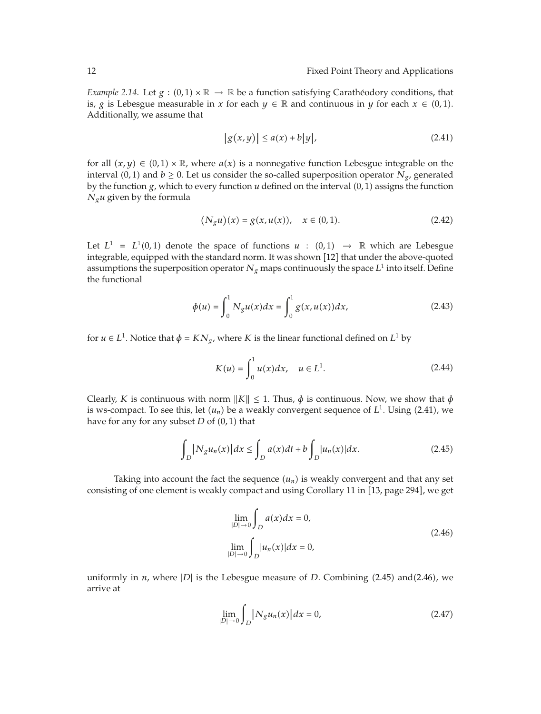*Example 2.14.* Let  $g : (0,1) \times \mathbb{R} \to \mathbb{R}$  be a function satisfying Caratheodory conditions, that is, *g* is Lebesgue measurable in *x* for each  $y \in \mathbb{R}$  and continuous in *y* for each  $x \in (0,1)$ . Additionally, we assume that

$$
|g(x,y)| \le a(x) + b|y|,\tag{2.41}
$$

for all  $(x, y) \in (0, 1) \times \mathbb{R}$ , where  $a(x)$  is a nonnegative function Lebesgue integrable on the interval  $(0,1)$  and  $b \ge 0$ . Let us consider the so-called superposition operator  $N_g$ , generated by the function  $g$ , which to every function  $u$  defined on the interval  $(0,1)$  assigns the function *Ngu* given by the formula

$$
(N_g u)(x) = g(x, u(x)), \quad x \in (0, 1).
$$
 (2.42)

Let  $L^1 = L^1(0,1)$  denote the space of functions  $u : (0,1) \rightarrow \mathbb{R}$  which are Lebesgue integrable, equipped with the standard norm. It was shown [12] that under the above-quoted assumptions the superposition operator  $N_g$  maps continuously the space  $L^1$  into itself. Define the functional

$$
\phi(u) = \int_0^1 N_g u(x) dx = \int_0^1 g(x, u(x)) dx,
$$
\n(2.43)

for  $u \in L^1$ . Notice that  $\phi = KN_g$ , where *K* is the linear functional defined on  $L^1$  by

$$
K(u) = \int_0^1 u(x) dx, \quad u \in L^1.
$$
 (2.44)

Clearly, *K* is continuous with norm  $||K|| \le 1$ . Thus,  $\phi$  is continuous. Now, we show that  $\phi$ is ws-compact. To see this, let  $(u_n)$  be a weakly convergent sequence of  $L^1$ . Using (2.41), we have for any for any subset  $D$  of  $(0, 1)$  that

$$
\int_{D} |N_{g} u_{n}(x)| dx \le \int_{D} a(x) dt + b \int_{D} |u_{n}(x)| dx.
$$
\n(2.45)

Taking into account the fact the sequence  $(u_n)$  is weakly convergent and that any set consisting of one element is weakly compact and using Corollary 11 in [13, page 294], we get

$$
\lim_{|D| \to 0} \int_{D} a(x) dx = 0,
$$
\n
$$
\lim_{|D| \to 0} \int_{D} |u_n(x)| dx = 0,
$$
\n(2.46)

uniformly in *n*, where |*D*| is the Lebesgue measure of *D*. Combining (2.45) and (2.46), we arrive at

$$
\lim_{|D| \to 0} \int_{D} |N_{g} u_{n}(x)| dx = 0,
$$
\n(2.47)